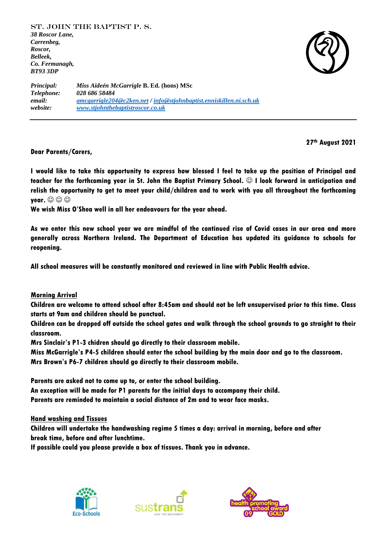

*Principal: Miss Aideén McGarrigle* **B. Ed. (hons) MSc**  *Telephone: 028 686 58484 email: [amcgarrigle204@c2ken.net](mailto:amcgarrigle204@c2ken.net) / [info@stjohnbaptist.enniskillen.ni.sch.uk](mailto:info@stjohnbaptist.enniskillen.ni.sch.uk) website: [www.stjohnthebaptistroscor.co.uk](http://www.stjohnthebaptistroscor.co.uk/)*

**27th August 2021**

**Dear Parents/Carers,** 

**I would like to take this opportunity to express how blessed I feel to take up the position of Principal and teacher for the forthcoming year in St. John the Baptist Primary School. I look forward in anticipation and relish the opportunity to get to meet your child/children and to work with you all throughout the forthcoming year.**  $\odot$   $\odot$   $\odot$ 

**We wish Miss O'Shea well in all her endeavours for the year ahead.** 

**As we enter this new school year we are mindful of the continued rise of Covid cases in our area and more generally across Northern Ireland. The Department of Education has updated its guidance to schools for reopening.** 

**All school measures will be constantly monitored and reviewed in line with Public Health advice.**

**Morning Arrival**

**Children are welcome to attend school after 8:45am and should not be left unsupervised prior to this time. Class starts at 9am and children should be punctual.**

**Children can be dropped off outside the school gates and walk through the school grounds to go straight to their classroom.** 

**Mrs Sinclair's P1-3 chidren should go directly to their classroom mobile.** 

**Miss McGarrigle's P4-5 children should enter the school building by the main door and go to the classroom.**

**Mrs Brown's P6-7 children should go directly to their classroom mobile.** 

**Parents are asked not to come up to, or enter the school building.**

**An exception will be made for P1 parents for the initial days to accompany their child.**

**Parents are reminded to maintain a social distance of 2m and to wear face masks.**

**Hand washing and Tissues**

**Children will undertake the handwashing regime 5 times a day: arrival in morning, before and after break time, before and after lunchtime.**

**If possible could you please provide a box of tissues. Thank you in advance.** 





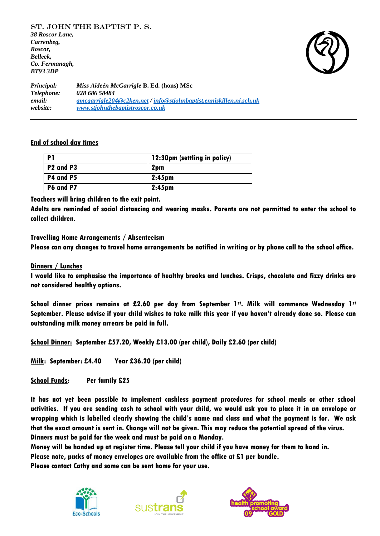

*Principal: Miss Aideén McGarrigle* **B. Ed. (hons) MSc**  *Telephone: 028 686 58484 email: [amcgarrigle204@c2ken.net](mailto:amcgarrigle204@c2ken.net) / [info@stjohnbaptist.enniskillen.ni.sch.uk](mailto:info@stjohnbaptist.enniskillen.ni.sch.uk) website: [www.stjohnthebaptistroscor.co.uk](http://www.stjohnthebaptistroscor.co.uk/)*

### **End of school day times**

| P1                                | 12:30pm (settling in policy) |
|-----------------------------------|------------------------------|
| P <sub>2</sub> and P <sub>3</sub> | 2pm                          |
| P4 and P5                         | $2:45$ pm                    |
| P6 and P7                         | $2:45$ pm                    |

**Teachers will bring children to the exit point.**

**Adults are reminded of social distancing and wearing masks. Parents are not permitted to enter the school to collect children.**

### **Travelling Home Arrangements / Absenteeism**

**Please can any changes to travel home arrangements be notified in writing or by phone call to the school office.**

## **Dinners / Lunches**

**I would like to emphasise the importance of healthy breaks and lunches. Crisps, chocolate and fizzy drinks are not considered healthy options.**

**School dinner prices remains at £2.60 per day from September 1st. Milk will commence Wednesday 1st September. Please advise if your child wishes to take milk this year if you haven't already done so. Please can outstanding milk money arrears be paid in full.** 

**School Dinner: September £57.20, Weekly £13.00 (per child), Daily £2.60 (per child)**

**Milk: September: £4.40 Year £36.20 (per child)**

**School Funds: Per family £25**

**It has not yet been possible to implement cashless payment procedures for school meals or other school activities. If you are sending cash to school with your child, we would ask you to place it in an envelope or wrapping which is labelled clearly showing the child's name and class and what the payment is for. We ask that the exact amount is sent in. Change will not be given. This may reduce the potential spread of the virus. Dinners must be paid for the week and must be paid on a Monday.**

**Money will be handed up at register time. Please tell your child if you have money for them to hand in.**

**Please note, packs of money envelopes are available from the office at £1 per bundle.**

**Please contact Cathy and some can be sent home for your use.**





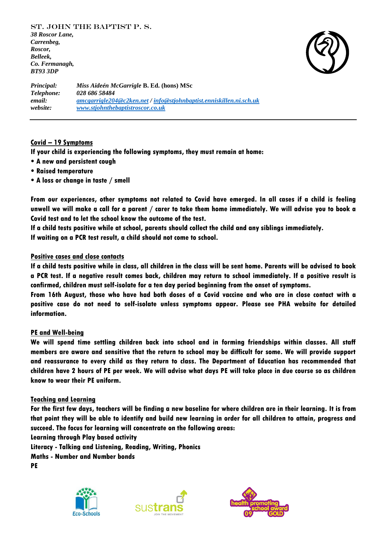

*Principal: Miss Aideén McGarrigle* **B. Ed. (hons) MSc**  *Telephone: 028 686 58484 email: [amcgarrigle204@c2ken.net](mailto:amcgarrigle204@c2ken.net) / [info@stjohnbaptist.enniskillen.ni.sch.uk](mailto:info@stjohnbaptist.enniskillen.ni.sch.uk) website: [www.stjohnthebaptistroscor.co.uk](http://www.stjohnthebaptistroscor.co.uk/)*

# **Covid – 19 Symptoms**

**If your child is experiencing the following symptoms, they must remain at home:**

- **A new and persistent cough**
- **Raised temperature**
- **A loss or change in taste / smell**

**From our experiences, other symptoms not related to Covid have emerged. In all cases if a child is feeling unwell we will make a call for a parent / carer to take them home immediately. We will advise you to book a Covid test and to let the school know the outcome of the test.**

**If a child tests positive while at school, parents should collect the child and any siblings immediately. If waiting on a PCR test result, a child should not come to school.**

# **Positive cases and close contacts**

**If a child tests positive while in class, all children in the class will be sent home. Parents will be advised to book a PCR test. If a negative result comes back, children may return to school immediately. If a positive result is confirmed, children must self-isolate for a ten day period beginning from the onset of symptoms.**

**From 16th August, those who have had both doses of a Covid vaccine and who are in close contact with a positive case do not need to self-isolate unless symptoms appear. Please see PHA website for detailed information.**

### **PE and Well-being**

**We will spend time settling children back into school and in forming friendships within classes. All staff members are aware and sensitive that the return to school may be difficult for some. We will provide support and reassurance to every child as they return to class. The Department of Education has recommended that children have 2 hours of PE per week. We will advise what days PE will take place in due course so as children know to wear their PE uniform.**

### **Teaching and Learning**

**For the first few days, teachers will be finding a new baseline for where children are in their learning. It is from that point they will be able to identify and build new learning in order for all children to attain, progress and succeed. The focus for learning will concentrate on the following areas:**

**Learning through Play based activity**

**Literacy - Talking and Listening, Reading, Writing, Phonics**

**Maths - Number and Number bonds**

**PE**





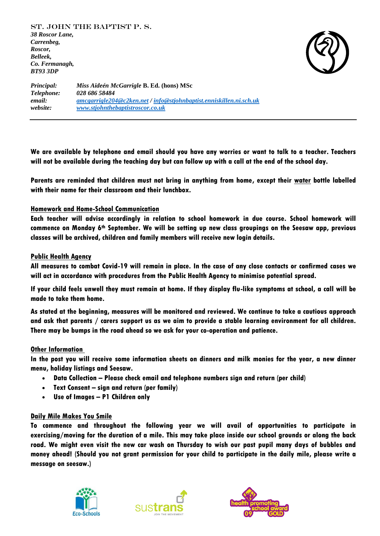

*Principal: Miss Aideén McGarrigle* **B. Ed. (hons) MSc**  *Telephone: 028 686 58484 email: [amcgarrigle204@c2ken.net](mailto:amcgarrigle204@c2ken.net) / [info@stjohnbaptist.enniskillen.ni.sch.uk](mailto:info@stjohnbaptist.enniskillen.ni.sch.uk) website: [www.stjohnthebaptistroscor.co.uk](http://www.stjohnthebaptistroscor.co.uk/)*

**We are available by telephone and email should you have any worries or want to talk to a teacher. Teachers will not be available during the teaching day but can follow up with a call at the end of the school day.**

**Parents are reminded that children must not bring in anything from home, except their water bottle labelled with their name for their classroom and their lunchbox.**

# **Homework and Home-School Communication**

**Each teacher will advise accordingly in relation to school homework in due course. School homework will commence on Monday 6th September. We will be setting up new class groupings on the Seesaw app, previous classes will be archived, children and family members will receive new login details.** 

### **Public Health Agency**

**All measures to combat Covid-19 will remain in place. In the case of any close contacts or confirmed cases we will act in accordance with procedures from the Public Health Agency to minimise potential spread.**

**If your child feels unwell they must remain at home. If they display flu-like symptoms at school, a call will be made to take them home.**

**As stated at the beginning, measures will be monitored and reviewed. We continue to take a cautious approach and ask that parents / carers support us as we aim to provide a stable learning environment for all children. There may be bumps in the road ahead so we ask for your co-operation and patience.** 

#### **Other Information**

**In the post you will receive some information sheets on dinners and milk monies for the year, a new dinner menu, holiday listings and Seesaw.**

- **Data Collection – Please check email and telephone numbers sign and return (per child)**
- **Text Consent – sign and return (per family)**
- **Use of Images – P1 Children only**

### **Daily Mile Makes You Smile**

**To commence and throughout the following year we will avail of opportunities to participate in exercising/moving for the duration of a mile. This may take place inside our school grounds or along the back road. We might even visit the new car wash on Thursday to wish our past pupil many days of bubbles and money ahead! (Should you not grant permission for your child to participate in the daily mile, please write a message on seesaw.)**